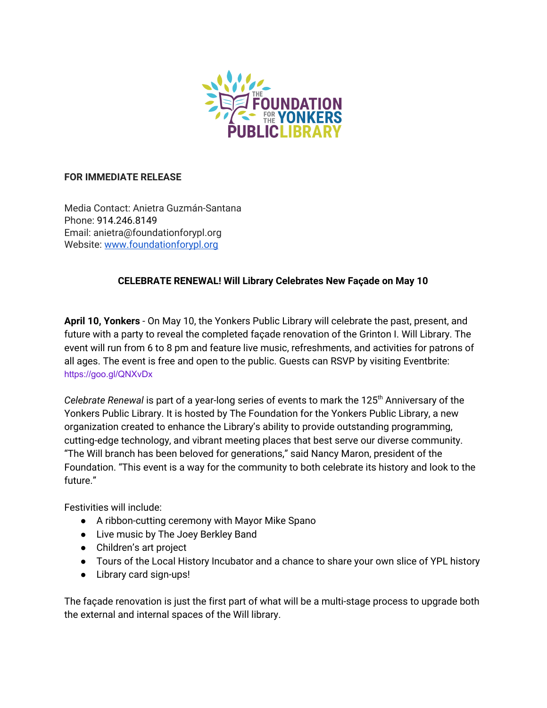

# **FOR IMMEDIATE RELEASE**

Media Contact: Anietra Guzmán-Santana Phone: 914.246.8149 Email: anietra@foundationforypl.org Website: [www.foundationforypl.org](http://www.foundationforypl.org/)

# **CELEBRATE RENEWAL! Will Library Celebrates New Façade on May 10**

**April 10, Yonkers** - On May 10, the Yonkers Public Library will celebrate the past, present, and future with a party to reveal the completed façade renovation of the Grinton I. Will Library. The event will run from 6 to 8 pm and feature live music, refreshments, and activities for patrons of all ages. The event is free and open to the public. Guests can RSVP by visiting Eventbrite: <https://goo.gl/QNXvDx>

*Celebrate Renewal* is part of a year-long series of events to mark the 125 th Anniversary of the Yonkers Public Library. It is hosted by The Foundation for the Yonkers Public Library, a new organization created to enhance the Library's ability to provide outstanding programming, cutting-edge technology, and vibrant meeting places that best serve our diverse community. "The Will branch has been beloved for generations," said Nancy Maron, president of the Foundation. "This event is a way for the community to both celebrate its history and look to the future."

Festivities will include:

- A ribbon-cutting ceremony with Mayor Mike Spano
- Live music by The Joey Berkley Band
- Children's art project
- Tours of the Local History Incubator and a chance to share your own slice of YPL history
- Library card sign-ups!

The façade renovation is just the first part of what will be a multi-stage process to upgrade both the external and internal spaces of the Will library.